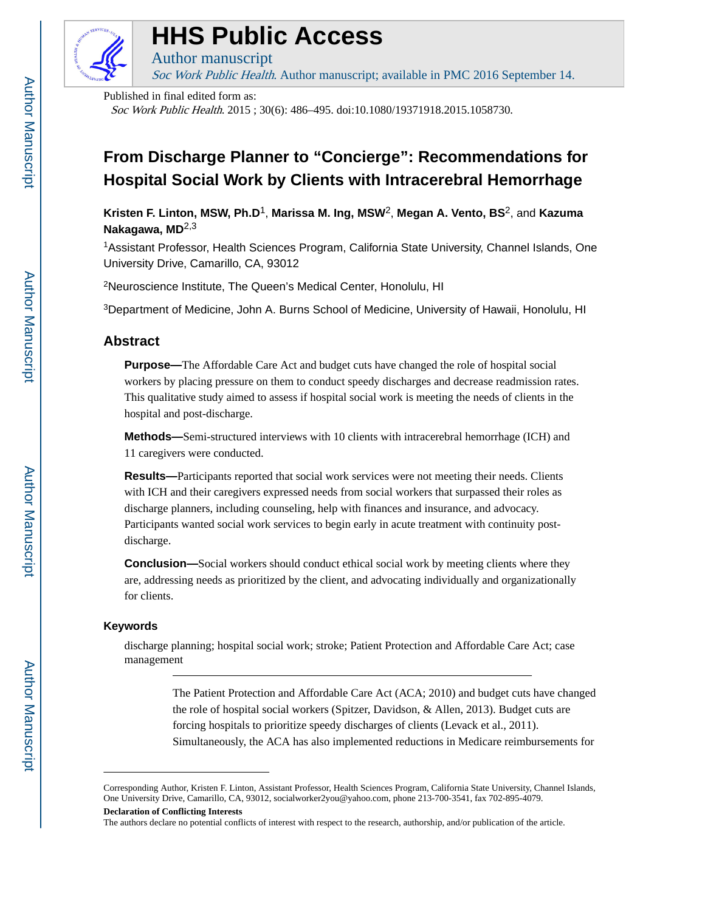

# **HHS Public Access**

Soc Work Public Health. Author manuscript; available in PMC 2016 September 14.

Published in final edited form as:

Author manuscript

Soc Work Public Health. 2015 ; 30(6): 486–495. doi:10.1080/19371918.2015.1058730.

## **From Discharge Planner to "Concierge": Recommendations for Hospital Social Work by Clients with Intracerebral Hemorrhage**

**Kristen F. Linton, MSW, Ph.D**1, **Marissa M. Ing, MSW**2, **Megan A. Vento, BS**2, and **Kazuma Nakagawa, MD**2,3

<sup>1</sup>Assistant Professor, Health Sciences Program, California State University, Channel Islands, One University Drive, Camarillo, CA, 93012

<sup>2</sup>Neuroscience Institute, The Queen's Medical Center, Honolulu, HI

<sup>3</sup>Department of Medicine, John A. Burns School of Medicine, University of Hawaii, Honolulu, HI

## **Abstract**

**Purpose—**The Affordable Care Act and budget cuts have changed the role of hospital social workers by placing pressure on them to conduct speedy discharges and decrease readmission rates. This qualitative study aimed to assess if hospital social work is meeting the needs of clients in the hospital and post-discharge.

**Methods—**Semi-structured interviews with 10 clients with intracerebral hemorrhage (ICH) and 11 caregivers were conducted.

**Results—**Participants reported that social work services were not meeting their needs. Clients with ICH and their caregivers expressed needs from social workers that surpassed their roles as discharge planners, including counseling, help with finances and insurance, and advocacy. Participants wanted social work services to begin early in acute treatment with continuity postdischarge.

**Conclusion—**Social workers should conduct ethical social work by meeting clients where they are, addressing needs as prioritized by the client, and advocating individually and organizationally for clients.

## **Keywords**

discharge planning; hospital social work; stroke; Patient Protection and Affordable Care Act; case management

> The Patient Protection and Affordable Care Act (ACA; 2010) and budget cuts have changed the role of hospital social workers (Spitzer, Davidson, & Allen, 2013). Budget cuts are forcing hospitals to prioritize speedy discharges of clients (Levack et al., 2011). Simultaneously, the ACA has also implemented reductions in Medicare reimbursements for

The authors declare no potential conflicts of interest with respect to the research, authorship, and/or publication of the article.

Corresponding Author, Kristen F. Linton, Assistant Professor, Health Sciences Program, California State University, Channel Islands, One University Drive, Camarillo, CA, 93012, socialworker2you@yahoo.com, phone 213-700-3541, fax 702-895-4079.

**Declaration of Conflicting Interests**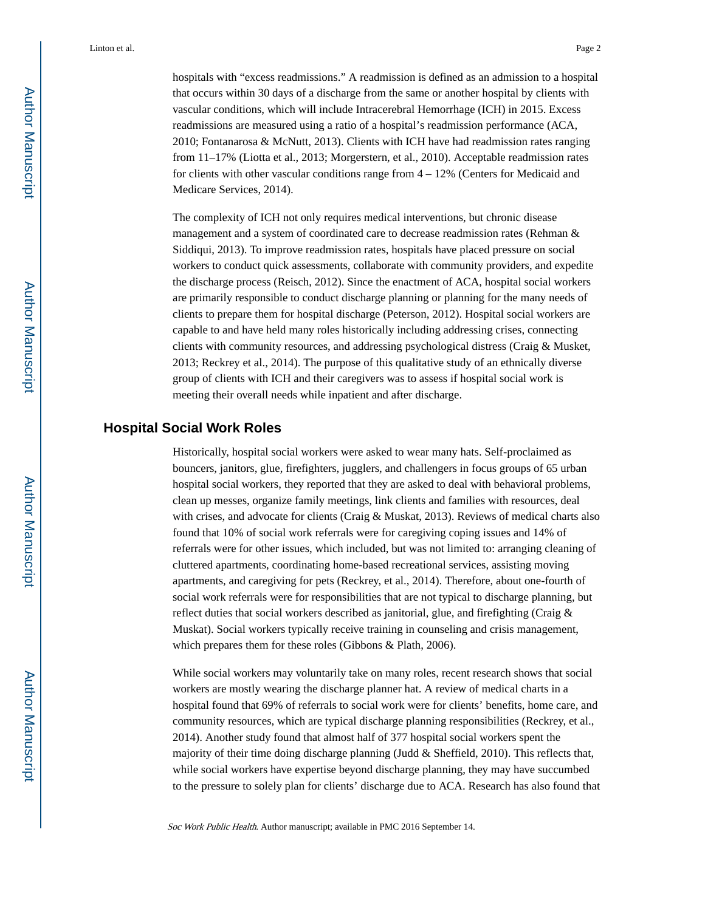hospitals with "excess readmissions." A readmission is defined as an admission to a hospital that occurs within 30 days of a discharge from the same or another hospital by clients with vascular conditions, which will include Intracerebral Hemorrhage (ICH) in 2015. Excess readmissions are measured using a ratio of a hospital's readmission performance (ACA, 2010; Fontanarosa & McNutt, 2013). Clients with ICH have had readmission rates ranging from 11–17% (Liotta et al., 2013; Morgerstern, et al., 2010). Acceptable readmission rates for clients with other vascular conditions range from 4 – 12% (Centers for Medicaid and Medicare Services, 2014).

The complexity of ICH not only requires medical interventions, but chronic disease management and a system of coordinated care to decrease readmission rates (Rehman & Siddiqui, 2013). To improve readmission rates, hospitals have placed pressure on social workers to conduct quick assessments, collaborate with community providers, and expedite the discharge process (Reisch, 2012). Since the enactment of ACA, hospital social workers are primarily responsible to conduct discharge planning or planning for the many needs of clients to prepare them for hospital discharge (Peterson, 2012). Hospital social workers are capable to and have held many roles historically including addressing crises, connecting clients with community resources, and addressing psychological distress (Craig & Musket, 2013; Reckrey et al., 2014). The purpose of this qualitative study of an ethnically diverse group of clients with ICH and their caregivers was to assess if hospital social work is meeting their overall needs while inpatient and after discharge.

## **Hospital Social Work Roles**

Historically, hospital social workers were asked to wear many hats. Self-proclaimed as bouncers, janitors, glue, firefighters, jugglers, and challengers in focus groups of 65 urban hospital social workers, they reported that they are asked to deal with behavioral problems, clean up messes, organize family meetings, link clients and families with resources, deal with crises, and advocate for clients (Craig & Muskat, 2013). Reviews of medical charts also found that 10% of social work referrals were for caregiving coping issues and 14% of referrals were for other issues, which included, but was not limited to: arranging cleaning of cluttered apartments, coordinating home-based recreational services, assisting moving apartments, and caregiving for pets (Reckrey, et al., 2014). Therefore, about one-fourth of social work referrals were for responsibilities that are not typical to discharge planning, but reflect duties that social workers described as janitorial, glue, and firefighting (Craig & Muskat). Social workers typically receive training in counseling and crisis management, which prepares them for these roles (Gibbons & Plath, 2006).

While social workers may voluntarily take on many roles, recent research shows that social workers are mostly wearing the discharge planner hat. A review of medical charts in a hospital found that 69% of referrals to social work were for clients' benefits, home care, and community resources, which are typical discharge planning responsibilities (Reckrey, et al., 2014). Another study found that almost half of 377 hospital social workers spent the majority of their time doing discharge planning (Judd & Sheffield, 2010). This reflects that, while social workers have expertise beyond discharge planning, they may have succumbed to the pressure to solely plan for clients' discharge due to ACA. Research has also found that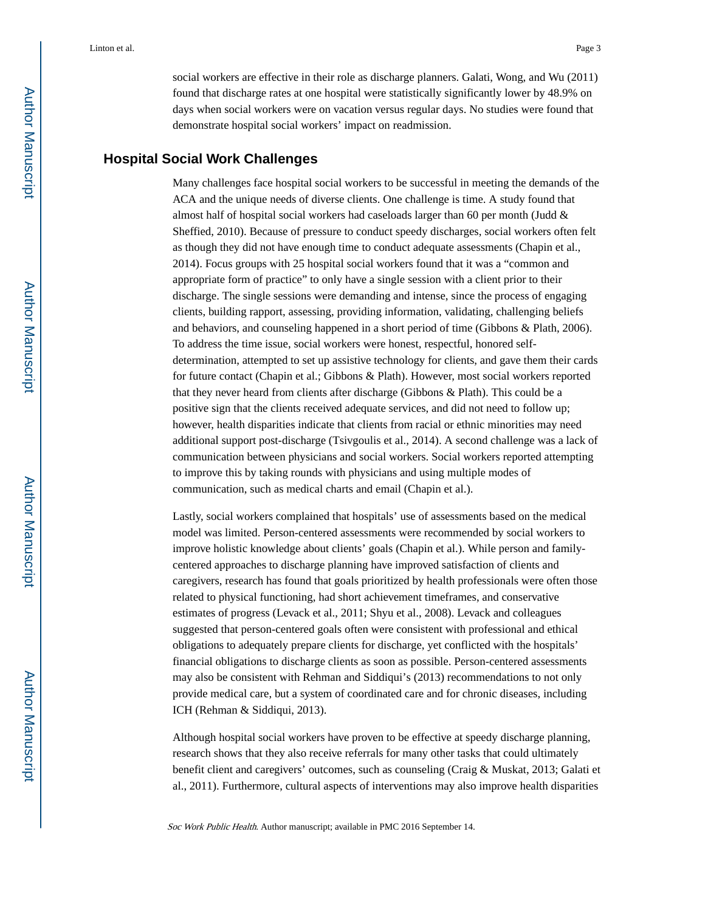social workers are effective in their role as discharge planners. Galati, Wong, and Wu (2011) found that discharge rates at one hospital were statistically significantly lower by 48.9% on days when social workers were on vacation versus regular days. No studies were found that demonstrate hospital social workers' impact on readmission.

## **Hospital Social Work Challenges**

Many challenges face hospital social workers to be successful in meeting the demands of the ACA and the unique needs of diverse clients. One challenge is time. A study found that almost half of hospital social workers had caseloads larger than 60 per month (Judd & Sheffied, 2010). Because of pressure to conduct speedy discharges, social workers often felt as though they did not have enough time to conduct adequate assessments (Chapin et al., 2014). Focus groups with 25 hospital social workers found that it was a "common and appropriate form of practice" to only have a single session with a client prior to their discharge. The single sessions were demanding and intense, since the process of engaging clients, building rapport, assessing, providing information, validating, challenging beliefs and behaviors, and counseling happened in a short period of time (Gibbons & Plath, 2006). To address the time issue, social workers were honest, respectful, honored selfdetermination, attempted to set up assistive technology for clients, and gave them their cards for future contact (Chapin et al.; Gibbons & Plath). However, most social workers reported that they never heard from clients after discharge (Gibbons & Plath). This could be a positive sign that the clients received adequate services, and did not need to follow up; however, health disparities indicate that clients from racial or ethnic minorities may need additional support post-discharge (Tsivgoulis et al., 2014). A second challenge was a lack of communication between physicians and social workers. Social workers reported attempting to improve this by taking rounds with physicians and using multiple modes of communication, such as medical charts and email (Chapin et al.).

Lastly, social workers complained that hospitals' use of assessments based on the medical model was limited. Person-centered assessments were recommended by social workers to improve holistic knowledge about clients' goals (Chapin et al.). While person and familycentered approaches to discharge planning have improved satisfaction of clients and caregivers, research has found that goals prioritized by health professionals were often those related to physical functioning, had short achievement timeframes, and conservative estimates of progress (Levack et al., 2011; Shyu et al., 2008). Levack and colleagues suggested that person-centered goals often were consistent with professional and ethical obligations to adequately prepare clients for discharge, yet conflicted with the hospitals' financial obligations to discharge clients as soon as possible. Person-centered assessments may also be consistent with Rehman and Siddiqui's (2013) recommendations to not only provide medical care, but a system of coordinated care and for chronic diseases, including ICH (Rehman & Siddiqui, 2013).

Although hospital social workers have proven to be effective at speedy discharge planning, research shows that they also receive referrals for many other tasks that could ultimately benefit client and caregivers' outcomes, such as counseling (Craig & Muskat, 2013; Galati et al., 2011). Furthermore, cultural aspects of interventions may also improve health disparities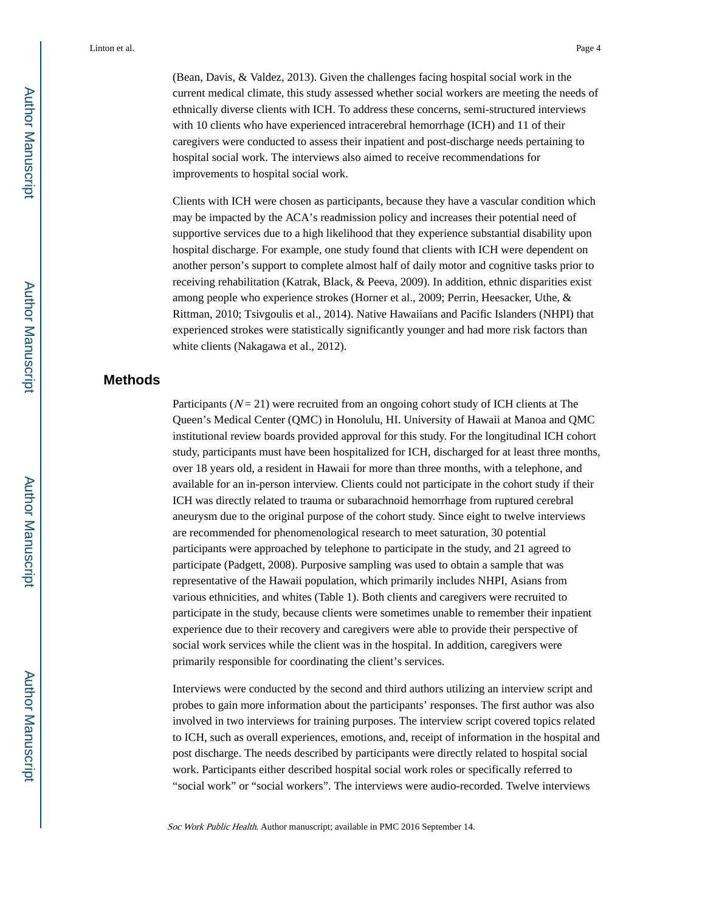Linton et al. Page 4

(Bean, Davis, & Valdez, 2013). Given the challenges facing hospital social work in the current medical climate, this study assessed whether social workers are meeting the needs of ethnically diverse clients with ICH. To address these concerns, semi-structured interviews with 10 clients who have experienced intracerebral hemorrhage (ICH) and 11 of their caregivers were conducted to assess their inpatient and post-discharge needs pertaining to hospital social work. The interviews also aimed to receive recommendations for improvements to hospital social work.

Clients with ICH were chosen as participants, because they have a vascular condition which may be impacted by the ACA's readmission policy and increases their potential need of supportive services due to a high likelihood that they experience substantial disability upon hospital discharge. For example, one study found that clients with ICH were dependent on another person's support to complete almost half of daily motor and cognitive tasks prior to receiving rehabilitation (Katrak, Black, & Peeva, 2009). In addition, ethnic disparities exist among people who experience strokes (Horner et al., 2009; Perrin, Heesacker, Uthe, & Rittman, 2010; Tsivgoulis et al., 2014). Native Hawaiians and Pacific Islanders (NHPI) that experienced strokes were statistically significantly younger and had more risk factors than white clients (Nakagawa et al., 2012).

## **Methods**

Participants ( $N = 21$ ) were recruited from an ongoing cohort study of ICH clients at The Queen's Medical Center (QMC) in Honolulu, HI. University of Hawaii at Manoa and QMC institutional review boards provided approval for this study. For the longitudinal ICH cohort study, participants must have been hospitalized for ICH, discharged for at least three months, over 18 years old, a resident in Hawaii for more than three months, with a telephone, and available for an in-person interview. Clients could not participate in the cohort study if their ICH was directly related to trauma or subarachnoid hemorrhage from ruptured cerebral aneurysm due to the original purpose of the cohort study. Since eight to twelve interviews are recommended for phenomenological research to meet saturation, 30 potential participants were approached by telephone to participate in the study, and 21 agreed to participate (Padgett, 2008). Purposive sampling was used to obtain a sample that was representative of the Hawaii population, which primarily includes NHPI, Asians from various ethnicities, and whites (Table 1). Both clients and caregivers were recruited to participate in the study, because clients were sometimes unable to remember their inpatient experience due to their recovery and caregivers were able to provide their perspective of social work services while the client was in the hospital. In addition, caregivers were primarily responsible for coordinating the client's services.

Interviews were conducted by the second and third authors utilizing an interview script and probes to gain more information about the participants' responses. The first author was also involved in two interviews for training purposes. The interview script covered topics related to ICH, such as overall experiences, emotions, and, receipt of information in the hospital and post discharge. The needs described by participants were directly related to hospital social work. Participants either described hospital social work roles or specifically referred to "social work" or "social workers". The interviews were audio-recorded. Twelve interviews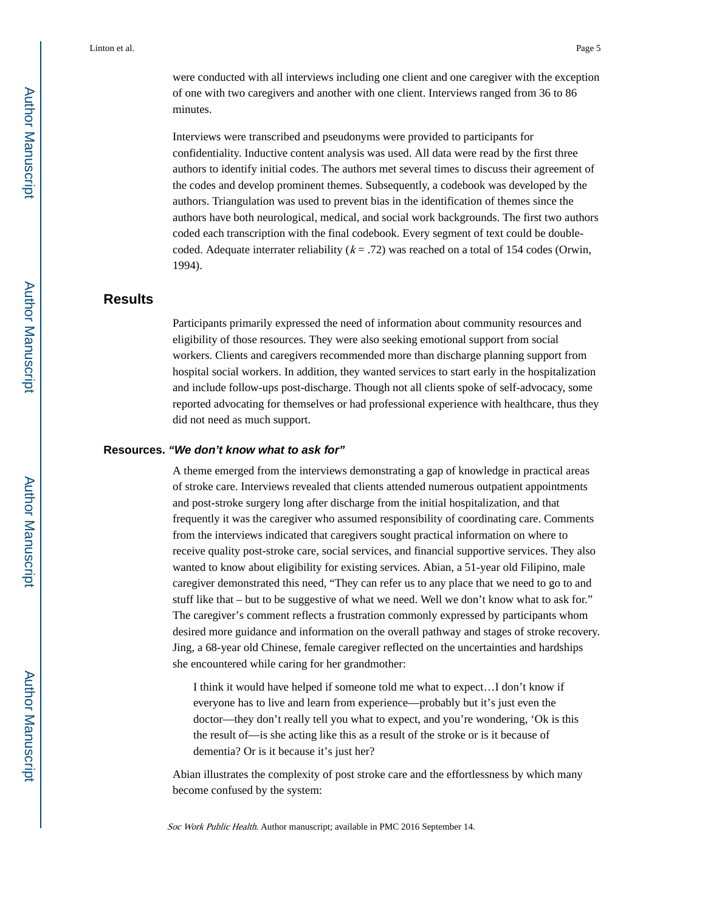Linton et al. Page 5

were conducted with all interviews including one client and one caregiver with the exception of one with two caregivers and another with one client. Interviews ranged from 36 to 86 minutes.

Interviews were transcribed and pseudonyms were provided to participants for confidentiality. Inductive content analysis was used. All data were read by the first three authors to identify initial codes. The authors met several times to discuss their agreement of the codes and develop prominent themes. Subsequently, a codebook was developed by the authors. Triangulation was used to prevent bias in the identification of themes since the authors have both neurological, medical, and social work backgrounds. The first two authors coded each transcription with the final codebook. Every segment of text could be doublecoded. Adequate interrater reliability  $(k = .72)$  was reached on a total of 154 codes (Orwin, 1994).

## **Results**

Participants primarily expressed the need of information about community resources and eligibility of those resources. They were also seeking emotional support from social workers. Clients and caregivers recommended more than discharge planning support from hospital social workers. In addition, they wanted services to start early in the hospitalization and include follow-ups post-discharge. Though not all clients spoke of self-advocacy, some reported advocating for themselves or had professional experience with healthcare, thus they did not need as much support.

#### **Resources.** *"We don't know what to ask for"*

A theme emerged from the interviews demonstrating a gap of knowledge in practical areas of stroke care. Interviews revealed that clients attended numerous outpatient appointments and post-stroke surgery long after discharge from the initial hospitalization, and that frequently it was the caregiver who assumed responsibility of coordinating care. Comments from the interviews indicated that caregivers sought practical information on where to receive quality post-stroke care, social services, and financial supportive services. They also wanted to know about eligibility for existing services. Abian, a 51-year old Filipino, male caregiver demonstrated this need, "They can refer us to any place that we need to go to and stuff like that – but to be suggestive of what we need. Well we don't know what to ask for." The caregiver's comment reflects a frustration commonly expressed by participants whom desired more guidance and information on the overall pathway and stages of stroke recovery. Jing, a 68-year old Chinese, female caregiver reflected on the uncertainties and hardships she encountered while caring for her grandmother:

I think it would have helped if someone told me what to expect…I don't know if everyone has to live and learn from experience—probably but it's just even the doctor—they don't really tell you what to expect, and you're wondering, 'Ok is this the result of—is she acting like this as a result of the stroke or is it because of dementia? Or is it because it's just her?

Abian illustrates the complexity of post stroke care and the effortlessness by which many become confused by the system: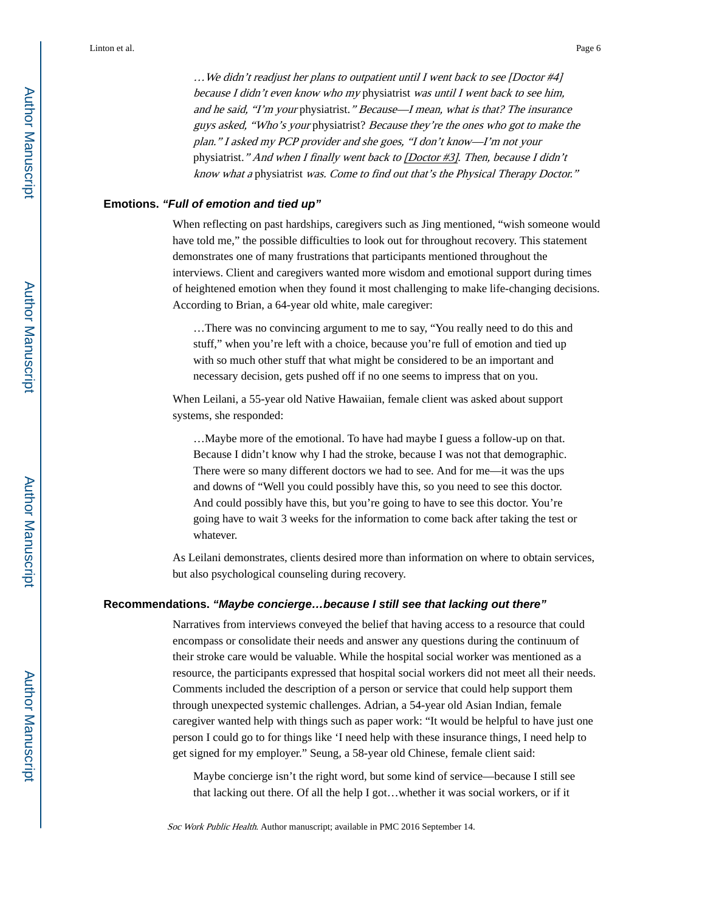…We didn't readjust her plans to outpatient until I went back to see [Doctor #4] because I didn't even know who my physiatrist was until I went back to see him, and he said, "I'm your physiatrist." Because—I mean, what is that? The insurance guys asked, "Who's your physiatrist? Because they're the ones who got to make the plan." I asked my PCP provider and she goes, "I don't know—I'm not your physiatrist." And when I finally went back to [Doctor #3]. Then, because I didn't know what a physiatrist was. Come to find out that's the Physical Therapy Doctor."

#### **Emotions.** *"Full of emotion and tied up"*

When reflecting on past hardships, caregivers such as Jing mentioned, "wish someone would have told me," the possible difficulties to look out for throughout recovery. This statement demonstrates one of many frustrations that participants mentioned throughout the interviews. Client and caregivers wanted more wisdom and emotional support during times of heightened emotion when they found it most challenging to make life-changing decisions. According to Brian, a 64-year old white, male caregiver:

…There was no convincing argument to me to say, "You really need to do this and stuff," when you're left with a choice, because you're full of emotion and tied up with so much other stuff that what might be considered to be an important and necessary decision, gets pushed off if no one seems to impress that on you.

When Leilani, a 55-year old Native Hawaiian, female client was asked about support systems, she responded:

…Maybe more of the emotional. To have had maybe I guess a follow-up on that. Because I didn't know why I had the stroke, because I was not that demographic. There were so many different doctors we had to see. And for me—it was the ups and downs of "Well you could possibly have this, so you need to see this doctor. And could possibly have this, but you're going to have to see this doctor. You're going have to wait 3 weeks for the information to come back after taking the test or whatever.

As Leilani demonstrates, clients desired more than information on where to obtain services, but also psychological counseling during recovery.

#### **Recommendations.** *"Maybe concierge…because I still see that lacking out there"*

Narratives from interviews conveyed the belief that having access to a resource that could encompass or consolidate their needs and answer any questions during the continuum of their stroke care would be valuable. While the hospital social worker was mentioned as a resource, the participants expressed that hospital social workers did not meet all their needs. Comments included the description of a person or service that could help support them through unexpected systemic challenges. Adrian, a 54-year old Asian Indian, female caregiver wanted help with things such as paper work: "It would be helpful to have just one person I could go to for things like 'I need help with these insurance things, I need help to get signed for my employer." Seung, a 58-year old Chinese, female client said:

Maybe concierge isn't the right word, but some kind of service—because I still see that lacking out there. Of all the help I got…whether it was social workers, or if it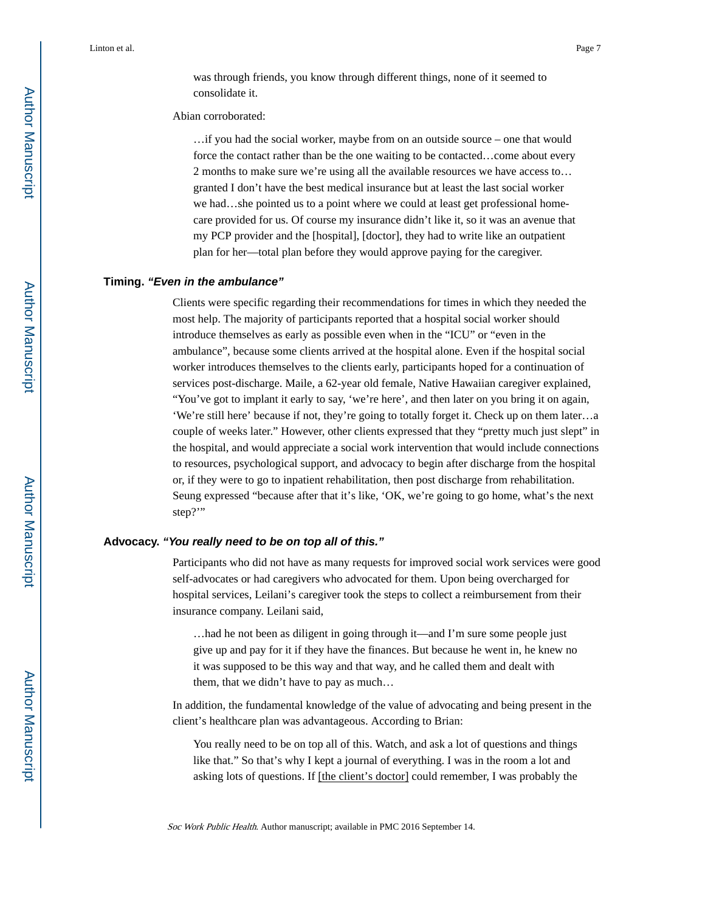was through friends, you know through different things, none of it seemed to consolidate it.

#### Abian corroborated:

…if you had the social worker, maybe from on an outside source – one that would force the contact rather than be the one waiting to be contacted…come about every 2 months to make sure we're using all the available resources we have access to… granted I don't have the best medical insurance but at least the last social worker we had…she pointed us to a point where we could at least get professional homecare provided for us. Of course my insurance didn't like it, so it was an avenue that my PCP provider and the [hospital], [doctor], they had to write like an outpatient plan for her—total plan before they would approve paying for the caregiver.

#### **Timing.** *"Even in the ambulance"*

Clients were specific regarding their recommendations for times in which they needed the most help. The majority of participants reported that a hospital social worker should introduce themselves as early as possible even when in the "ICU" or "even in the ambulance", because some clients arrived at the hospital alone. Even if the hospital social worker introduces themselves to the clients early, participants hoped for a continuation of services post-discharge. Maile, a 62-year old female, Native Hawaiian caregiver explained, "You've got to implant it early to say, 'we're here', and then later on you bring it on again, 'We're still here' because if not, they're going to totally forget it. Check up on them later…a couple of weeks later." However, other clients expressed that they "pretty much just slept" in the hospital, and would appreciate a social work intervention that would include connections to resources, psychological support, and advocacy to begin after discharge from the hospital or, if they were to go to inpatient rehabilitation, then post discharge from rehabilitation. Seung expressed "because after that it's like, 'OK, we're going to go home, what's the next step?"

#### **Advocacy.** *"You really need to be on top all of this."*

Participants who did not have as many requests for improved social work services were good self-advocates or had caregivers who advocated for them. Upon being overcharged for hospital services, Leilani's caregiver took the steps to collect a reimbursement from their insurance company. Leilani said,

…had he not been as diligent in going through it—and I'm sure some people just give up and pay for it if they have the finances. But because he went in, he knew no it was supposed to be this way and that way, and he called them and dealt with them, that we didn't have to pay as much…

In addition, the fundamental knowledge of the value of advocating and being present in the client's healthcare plan was advantageous. According to Brian:

You really need to be on top all of this. Watch, and ask a lot of questions and things like that." So that's why I kept a journal of everything. I was in the room a lot and asking lots of questions. If [the client's doctor] could remember, I was probably the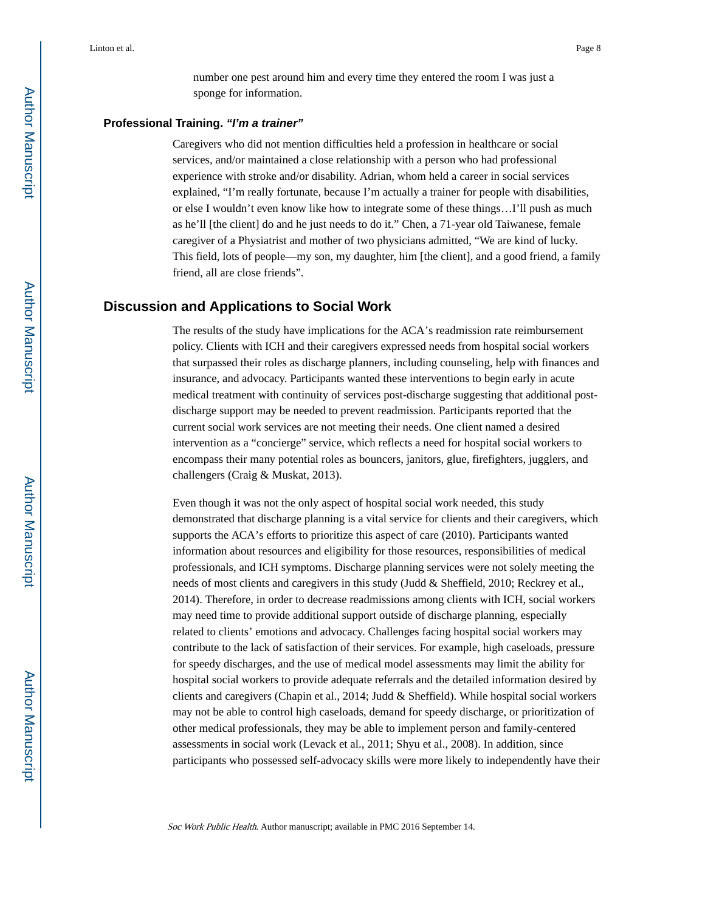number one pest around him and every time they entered the room I was just a sponge for information.

#### **Professional Training.** *"I'm a trainer"*

Caregivers who did not mention difficulties held a profession in healthcare or social services, and/or maintained a close relationship with a person who had professional experience with stroke and/or disability. Adrian, whom held a career in social services explained, "I'm really fortunate, because I'm actually a trainer for people with disabilities, or else I wouldn't even know like how to integrate some of these things…I'll push as much as he'll [the client] do and he just needs to do it." Chen, a 71-year old Taiwanese, female caregiver of a Physiatrist and mother of two physicians admitted, "We are kind of lucky. This field, lots of people—my son, my daughter, him [the client], and a good friend, a family friend, all are close friends".

## **Discussion and Applications to Social Work**

The results of the study have implications for the ACA's readmission rate reimbursement policy. Clients with ICH and their caregivers expressed needs from hospital social workers that surpassed their roles as discharge planners, including counseling, help with finances and insurance, and advocacy. Participants wanted these interventions to begin early in acute medical treatment with continuity of services post-discharge suggesting that additional postdischarge support may be needed to prevent readmission. Participants reported that the current social work services are not meeting their needs. One client named a desired intervention as a "concierge" service, which reflects a need for hospital social workers to encompass their many potential roles as bouncers, janitors, glue, firefighters, jugglers, and challengers (Craig & Muskat, 2013).

Even though it was not the only aspect of hospital social work needed, this study demonstrated that discharge planning is a vital service for clients and their caregivers, which supports the ACA's efforts to prioritize this aspect of care (2010). Participants wanted information about resources and eligibility for those resources, responsibilities of medical professionals, and ICH symptoms. Discharge planning services were not solely meeting the needs of most clients and caregivers in this study (Judd & Sheffield, 2010; Reckrey et al., 2014). Therefore, in order to decrease readmissions among clients with ICH, social workers may need time to provide additional support outside of discharge planning, especially related to clients' emotions and advocacy. Challenges facing hospital social workers may contribute to the lack of satisfaction of their services. For example, high caseloads, pressure for speedy discharges, and the use of medical model assessments may limit the ability for hospital social workers to provide adequate referrals and the detailed information desired by clients and caregivers (Chapin et al., 2014; Judd & Sheffield). While hospital social workers may not be able to control high caseloads, demand for speedy discharge, or prioritization of other medical professionals, they may be able to implement person and family-centered assessments in social work (Levack et al., 2011; Shyu et al., 2008). In addition, since participants who possessed self-advocacy skills were more likely to independently have their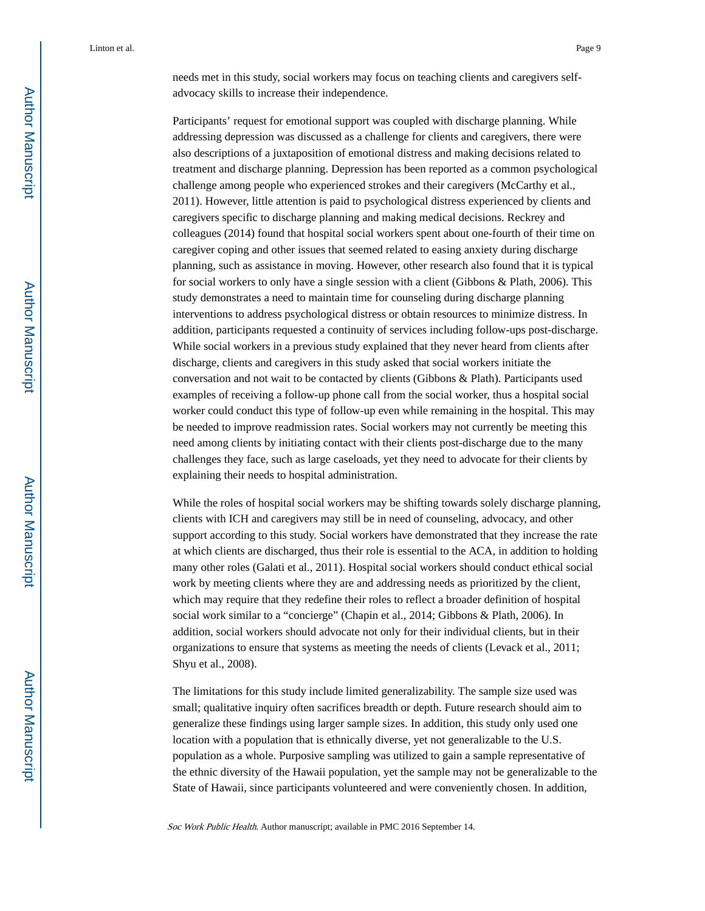Linton et al. Page 9

needs met in this study, social workers may focus on teaching clients and caregivers selfadvocacy skills to increase their independence.

Participants' request for emotional support was coupled with discharge planning. While addressing depression was discussed as a challenge for clients and caregivers, there were also descriptions of a juxtaposition of emotional distress and making decisions related to treatment and discharge planning. Depression has been reported as a common psychological challenge among people who experienced strokes and their caregivers (McCarthy et al., 2011). However, little attention is paid to psychological distress experienced by clients and caregivers specific to discharge planning and making medical decisions. Reckrey and colleagues (2014) found that hospital social workers spent about one-fourth of their time on caregiver coping and other issues that seemed related to easing anxiety during discharge planning, such as assistance in moving. However, other research also found that it is typical for social workers to only have a single session with a client (Gibbons & Plath, 2006). This study demonstrates a need to maintain time for counseling during discharge planning interventions to address psychological distress or obtain resources to minimize distress. In addition, participants requested a continuity of services including follow-ups post-discharge. While social workers in a previous study explained that they never heard from clients after discharge, clients and caregivers in this study asked that social workers initiate the conversation and not wait to be contacted by clients (Gibbons & Plath). Participants used examples of receiving a follow-up phone call from the social worker, thus a hospital social worker could conduct this type of follow-up even while remaining in the hospital. This may be needed to improve readmission rates. Social workers may not currently be meeting this need among clients by initiating contact with their clients post-discharge due to the many challenges they face, such as large caseloads, yet they need to advocate for their clients by explaining their needs to hospital administration.

While the roles of hospital social workers may be shifting towards solely discharge planning, clients with ICH and caregivers may still be in need of counseling, advocacy, and other support according to this study. Social workers have demonstrated that they increase the rate at which clients are discharged, thus their role is essential to the ACA, in addition to holding many other roles (Galati et al., 2011). Hospital social workers should conduct ethical social work by meeting clients where they are and addressing needs as prioritized by the client, which may require that they redefine their roles to reflect a broader definition of hospital social work similar to a "concierge" (Chapin et al., 2014; Gibbons & Plath, 2006). In addition, social workers should advocate not only for their individual clients, but in their organizations to ensure that systems as meeting the needs of clients (Levack et al., 2011; Shyu et al., 2008).

The limitations for this study include limited generalizability. The sample size used was small; qualitative inquiry often sacrifices breadth or depth. Future research should aim to generalize these findings using larger sample sizes. In addition, this study only used one location with a population that is ethnically diverse, yet not generalizable to the U.S. population as a whole. Purposive sampling was utilized to gain a sample representative of the ethnic diversity of the Hawaii population, yet the sample may not be generalizable to the State of Hawaii, since participants volunteered and were conveniently chosen. In addition,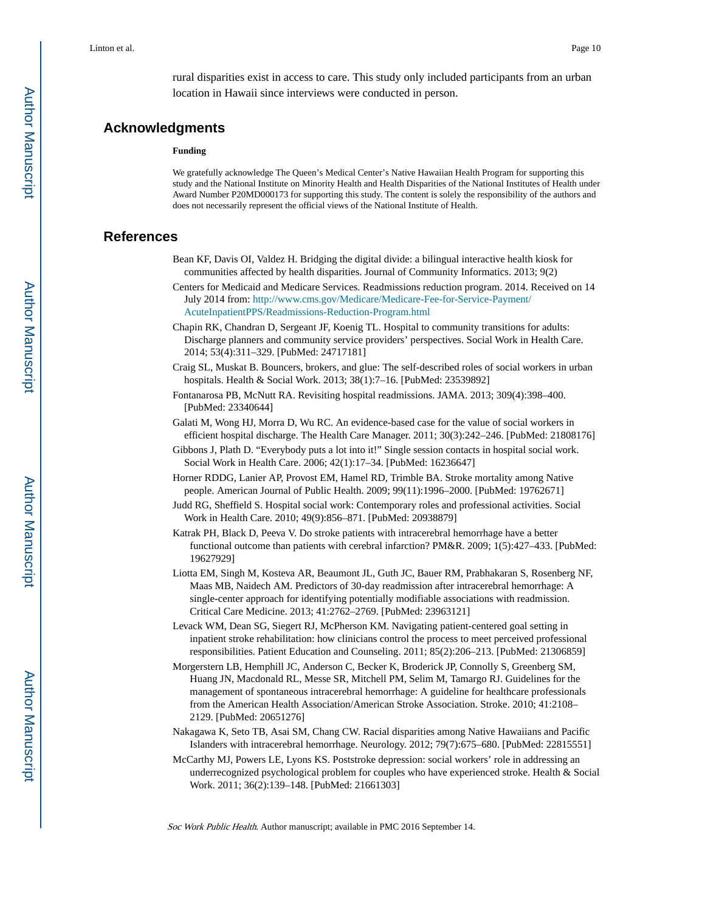rural disparities exist in access to care. This study only included participants from an urban location in Hawaii since interviews were conducted in person.

## **Acknowledgments**

#### **Funding**

We gratefully acknowledge The Queen's Medical Center's Native Hawaiian Health Program for supporting this study and the National Institute on Minority Health and Health Disparities of the National Institutes of Health under Award Number P20MD000173 for supporting this study. The content is solely the responsibility of the authors and does not necessarily represent the official views of the National Institute of Health.

## **References**

- Bean KF, Davis OI, Valdez H. Bridging the digital divide: a bilingual interactive health kiosk for communities affected by health disparities. Journal of Community Informatics. 2013; 9(2)
- Centers for Medicaid and Medicare Services. Readmissions reduction program. 2014. Received on 14 July 2014 from: [http://www.cms.gov/Medicare/Medicare-Fee-for-Service-Payment/](http://www.cms.gov/Medicare/Medicare-Fee-for-Service-Payment/AcuteInpatientPPS/Readmissions-Reduction-Program.html) [AcuteInpatientPPS/Readmissions-Reduction-Program.html](http://www.cms.gov/Medicare/Medicare-Fee-for-Service-Payment/AcuteInpatientPPS/Readmissions-Reduction-Program.html)
- Chapin RK, Chandran D, Sergeant JF, Koenig TL. Hospital to community transitions for adults: Discharge planners and community service providers' perspectives. Social Work in Health Care. 2014; 53(4):311–329. [PubMed: 24717181]
- Craig SL, Muskat B. Bouncers, brokers, and glue: The self-described roles of social workers in urban hospitals. Health & Social Work. 2013; 38(1):7–16. [PubMed: 23539892]
- Fontanarosa PB, McNutt RA. Revisiting hospital readmissions. JAMA. 2013; 309(4):398–400. [PubMed: 23340644]
- Galati M, Wong HJ, Morra D, Wu RC. An evidence-based case for the value of social workers in efficient hospital discharge. The Health Care Manager. 2011; 30(3):242–246. [PubMed: 21808176]
- Gibbons J, Plath D. "Everybody puts a lot into it!" Single session contacts in hospital social work. Social Work in Health Care. 2006; 42(1):17–34. [PubMed: 16236647]
- Horner RDDG, Lanier AP, Provost EM, Hamel RD, Trimble BA. Stroke mortality among Native people. American Journal of Public Health. 2009; 99(11):1996–2000. [PubMed: 19762671]
- Judd RG, Sheffield S. Hospital social work: Contemporary roles and professional activities. Social Work in Health Care. 2010; 49(9):856–871. [PubMed: 20938879]
- Katrak PH, Black D, Peeva V. Do stroke patients with intracerebral hemorrhage have a better functional outcome than patients with cerebral infarction? PM&R. 2009; 1(5):427–433. [PubMed: 19627929]
- Liotta EM, Singh M, Kosteva AR, Beaumont JL, Guth JC, Bauer RM, Prabhakaran S, Rosenberg NF, Maas MB, Naidech AM. Predictors of 30-day readmission after intracerebral hemorrhage: A single-center approach for identifying potentially modifiable associations with readmission. Critical Care Medicine. 2013; 41:2762–2769. [PubMed: 23963121]
- Levack WM, Dean SG, Siegert RJ, McPherson KM. Navigating patient-centered goal setting in inpatient stroke rehabilitation: how clinicians control the process to meet perceived professional responsibilities. Patient Education and Counseling. 2011; 85(2):206–213. [PubMed: 21306859]
- Morgerstern LB, Hemphill JC, Anderson C, Becker K, Broderick JP, Connolly S, Greenberg SM, Huang JN, Macdonald RL, Messe SR, Mitchell PM, Selim M, Tamargo RJ. Guidelines for the management of spontaneous intracerebral hemorrhage: A guideline for healthcare professionals from the American Health Association/American Stroke Association. Stroke. 2010; 41:2108– 2129. [PubMed: 20651276]
- Nakagawa K, Seto TB, Asai SM, Chang CW. Racial disparities among Native Hawaiians and Pacific Islanders with intracerebral hemorrhage. Neurology. 2012; 79(7):675–680. [PubMed: 22815551]
- McCarthy MJ, Powers LE, Lyons KS. Poststroke depression: social workers' role in addressing an underrecognized psychological problem for couples who have experienced stroke. Health & Social Work. 2011; 36(2):139–148. [PubMed: 21661303]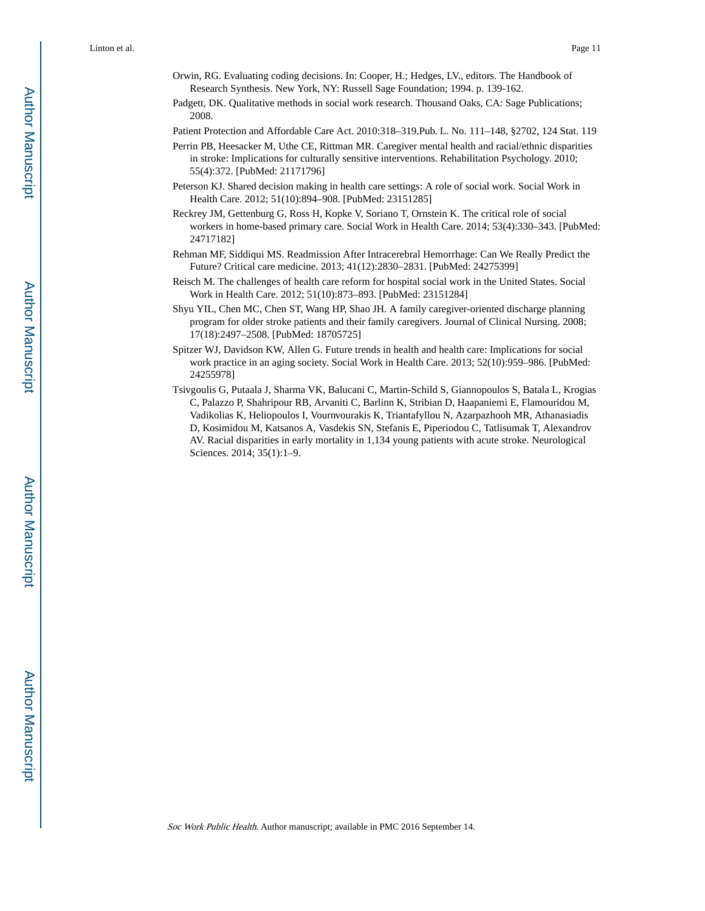- Orwin, RG. Evaluating coding decisions. In: Cooper, H.; Hedges, LV., editors. The Handbook of Research Synthesis. New York, NY: Russell Sage Foundation; 1994. p. 139-162.
- Padgett, DK. Qualitative methods in social work research. Thousand Oaks, CA: Sage Publications; 2008.

Patient Protection and Affordable Care Act. 2010:318–319.Pub. L. No. 111–148, §2702, 124 Stat. 119

- Perrin PB, Heesacker M, Uthe CE, Rittman MR. Caregiver mental health and racial/ethnic disparities in stroke: Implications for culturally sensitive interventions. Rehabilitation Psychology. 2010; 55(4):372. [PubMed: 21171796]
- Peterson KJ. Shared decision making in health care settings: A role of social work. Social Work in Health Care. 2012; 51(10):894–908. [PubMed: 23151285]
- Reckrey JM, Gettenburg G, Ross H, Kopke V, Soriano T, Ornstein K. The critical role of social workers in home-based primary care. Social Work in Health Care. 2014; 53(4):330–343. [PubMed: 24717182]
- Rehman MF, Siddiqui MS. Readmission After Intracerebral Hemorrhage: Can We Really Predict the Future? Critical care medicine. 2013; 41(12):2830–2831. [PubMed: 24275399]
- Reisch M. The challenges of health care reform for hospital social work in the United States. Social Work in Health Care. 2012; 51(10):873–893. [PubMed: 23151284]
- Shyu YIL, Chen MC, Chen ST, Wang HP, Shao JH. A family caregiver-oriented discharge planning program for older stroke patients and their family caregivers. Journal of Clinical Nursing. 2008; 17(18):2497–2508. [PubMed: 18705725]
- Spitzer WJ, Davidson KW, Allen G. Future trends in health and health care: Implications for social work practice in an aging society. Social Work in Health Care. 2013; 52(10):959–986. [PubMed: 24255978]
- Tsivgoulis G, Putaala J, Sharma VK, Balucani C, Martin-Schild S, Giannopoulos S, Batala L, Krogias C, Palazzo P, Shahripour RB, Arvaniti C, Barlinn K, Stribian D, Haapaniemi E, Flamouridou M, Vadikolias K, Heliopoulos I, Vournvourakis K, Triantafyllou N, Azarpazhooh MR, Athanasiadis D, Kosimidou M, Katsanos A, Vasdekis SN, Stefanis E, Piperiodou C, Tatlisumak T, Alexandrov AV. Racial disparities in early mortality in 1,134 young patients with acute stroke. Neurological Sciences. 2014; 35(1):1–9.